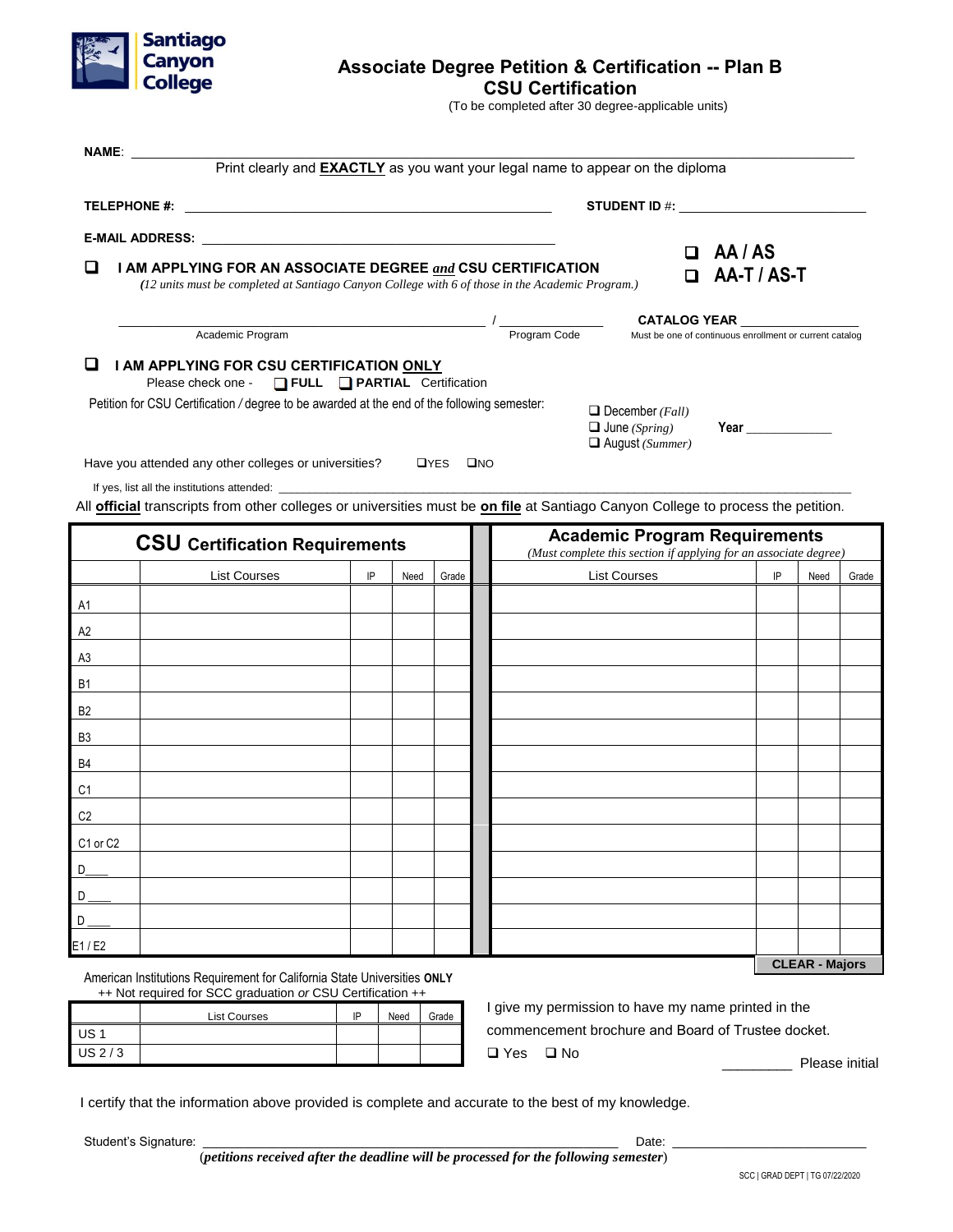

# **Associate Degree Petition & Certification -- Plan B**

**CSU Certification**

(To be completed after 30 degree-applicable units)

| <b>NAME:</b>                                                                                                                                                                             |                                                                                                                                                                                                                                                                                                                                                      |                                                                                                          |      |             | Print clearly and EXACTLY as you want your legal name to appear on the diploma                    |                                                                                |                                                                                                                                                                                                                                    |    |      |       |
|------------------------------------------------------------------------------------------------------------------------------------------------------------------------------------------|------------------------------------------------------------------------------------------------------------------------------------------------------------------------------------------------------------------------------------------------------------------------------------------------------------------------------------------------------|----------------------------------------------------------------------------------------------------------|------|-------------|---------------------------------------------------------------------------------------------------|--------------------------------------------------------------------------------|------------------------------------------------------------------------------------------------------------------------------------------------------------------------------------------------------------------------------------|----|------|-------|
|                                                                                                                                                                                          | <b>TELEPHONE #:</b><br><u> 1989 - Johann Harry Harry Harry Harry Harry Harry Harry Harry Harry Harry Harry Harry Harry Harry Harry Harry</u>                                                                                                                                                                                                         |                                                                                                          |      |             |                                                                                                   |                                                                                |                                                                                                                                                                                                                                    |    |      |       |
|                                                                                                                                                                                          |                                                                                                                                                                                                                                                                                                                                                      |                                                                                                          |      |             |                                                                                                   |                                                                                |                                                                                                                                                                                                                                    |    |      |       |
| ப<br>I AM APPLYING FOR AN ASSOCIATE DEGREE and CSU CERTIFICATION<br>(12 units must be completed at Santiago Canyon College with 6 of those in the Academic Program.)<br>Academic Program |                                                                                                                                                                                                                                                                                                                                                      |                                                                                                          |      |             |                                                                                                   | n                                                                              | AA / AS<br>AA-T / AS-T                                                                                                                                                                                                             |    |      |       |
|                                                                                                                                                                                          |                                                                                                                                                                                                                                                                                                                                                      |                                                                                                          |      |             | Program Code                                                                                      | <b>CATALOG YEAR</b><br>Must be one of continuous enrollment or current catalog |                                                                                                                                                                                                                                    |    |      |       |
|                                                                                                                                                                                          | Please check one - □ FULL □ PARTIAL Certification<br>Petition for CSU Certification / degree to be awarded at the end of the following semester:<br>Have you attended any other colleges or universities?<br>All <b>official</b> transcripts from other colleges or universities must be on file at Santiago Canyon College to process the petition. |                                                                                                          |      | <b>OYES</b> | $\Box$ December ( <i>Fall</i> )<br>$\Box$ June (Spring)<br>$\Box$ August (Summer)<br>$\square$ NO |                                                                                | <b>Year Secondary Secondary Secondary Secondary Secondary Secondary Secondary Secondary Secondary Secondary Secondary Secondary Secondary Secondary Secondary Secondary Secondary Secondary Secondary Secondary Secondary Seco</b> |    |      |       |
|                                                                                                                                                                                          | <b>CSU</b> Certification Requirements                                                                                                                                                                                                                                                                                                                | <b>Academic Program Requirements</b><br>(Must complete this section if applying for an associate degree) |      |             |                                                                                                   |                                                                                |                                                                                                                                                                                                                                    |    |      |       |
|                                                                                                                                                                                          | <b>List Courses</b>                                                                                                                                                                                                                                                                                                                                  | IP                                                                                                       | Need | Grade       | <b>List Courses</b>                                                                               |                                                                                |                                                                                                                                                                                                                                    | IP | Need | Grade |
| A1                                                                                                                                                                                       |                                                                                                                                                                                                                                                                                                                                                      |                                                                                                          |      |             |                                                                                                   |                                                                                |                                                                                                                                                                                                                                    |    |      |       |
| A2                                                                                                                                                                                       |                                                                                                                                                                                                                                                                                                                                                      |                                                                                                          |      |             |                                                                                                   |                                                                                |                                                                                                                                                                                                                                    |    |      |       |
| A3                                                                                                                                                                                       |                                                                                                                                                                                                                                                                                                                                                      |                                                                                                          |      |             |                                                                                                   |                                                                                |                                                                                                                                                                                                                                    |    |      |       |
| <u>B1</u>                                                                                                                                                                                |                                                                                                                                                                                                                                                                                                                                                      |                                                                                                          |      |             |                                                                                                   |                                                                                |                                                                                                                                                                                                                                    |    |      |       |
| B <sub>2</sub>                                                                                                                                                                           |                                                                                                                                                                                                                                                                                                                                                      |                                                                                                          |      |             |                                                                                                   |                                                                                |                                                                                                                                                                                                                                    |    |      |       |
|                                                                                                                                                                                          |                                                                                                                                                                                                                                                                                                                                                      |                                                                                                          |      |             |                                                                                                   |                                                                                |                                                                                                                                                                                                                                    |    |      |       |

| $\overline{\phantom{a}}$ |  |  |  |  |  |  |  |                       |  |  |
|--------------------------|--|--|--|--|--|--|--|-----------------------|--|--|
| A3                       |  |  |  |  |  |  |  |                       |  |  |
| <b>B1</b>                |  |  |  |  |  |  |  |                       |  |  |
| B <sub>2</sub>           |  |  |  |  |  |  |  |                       |  |  |
| B <sub>3</sub>           |  |  |  |  |  |  |  |                       |  |  |
| B4                       |  |  |  |  |  |  |  |                       |  |  |
| C1                       |  |  |  |  |  |  |  |                       |  |  |
| C <sub>2</sub>           |  |  |  |  |  |  |  |                       |  |  |
| C1 or C2                 |  |  |  |  |  |  |  |                       |  |  |
| D                        |  |  |  |  |  |  |  |                       |  |  |
| D                        |  |  |  |  |  |  |  |                       |  |  |
| D                        |  |  |  |  |  |  |  |                       |  |  |
| E1/E2                    |  |  |  |  |  |  |  |                       |  |  |
|                          |  |  |  |  |  |  |  | <b>CLEAR - Majors</b> |  |  |

American Institutions Requirement for California State Universities **ONLY** ++ Not required for SCC graduation *or* CSU Certification ++

|          | <b>List Courses</b> | IP | Need | Grade |
|----------|---------------------|----|------|-------|
| US 1     |                     |    |      |       |
| $US$ 2/3 |                     |    |      |       |

I give my permission to have my name printed in the commencement brochure and Board of Trustee docket. Yes No

Please initial

I certify that the information above provided is complete and accurate to the best of my knowledge.

Student's Signature: \_\_\_\_\_\_\_\_\_\_\_\_\_\_\_\_\_\_\_\_\_\_\_\_\_\_\_\_\_\_\_\_\_\_\_\_\_\_\_\_\_\_\_\_\_\_\_\_\_\_\_\_\_\_\_\_\_\_\_\_ Date: \_\_\_\_\_\_\_\_\_\_\_\_\_\_\_\_\_\_\_\_\_\_\_\_\_\_\_\_

(*petitions received after the deadline will be processed for the following semester*)

SCC | GRAD DEPT | TG 07/22/2020